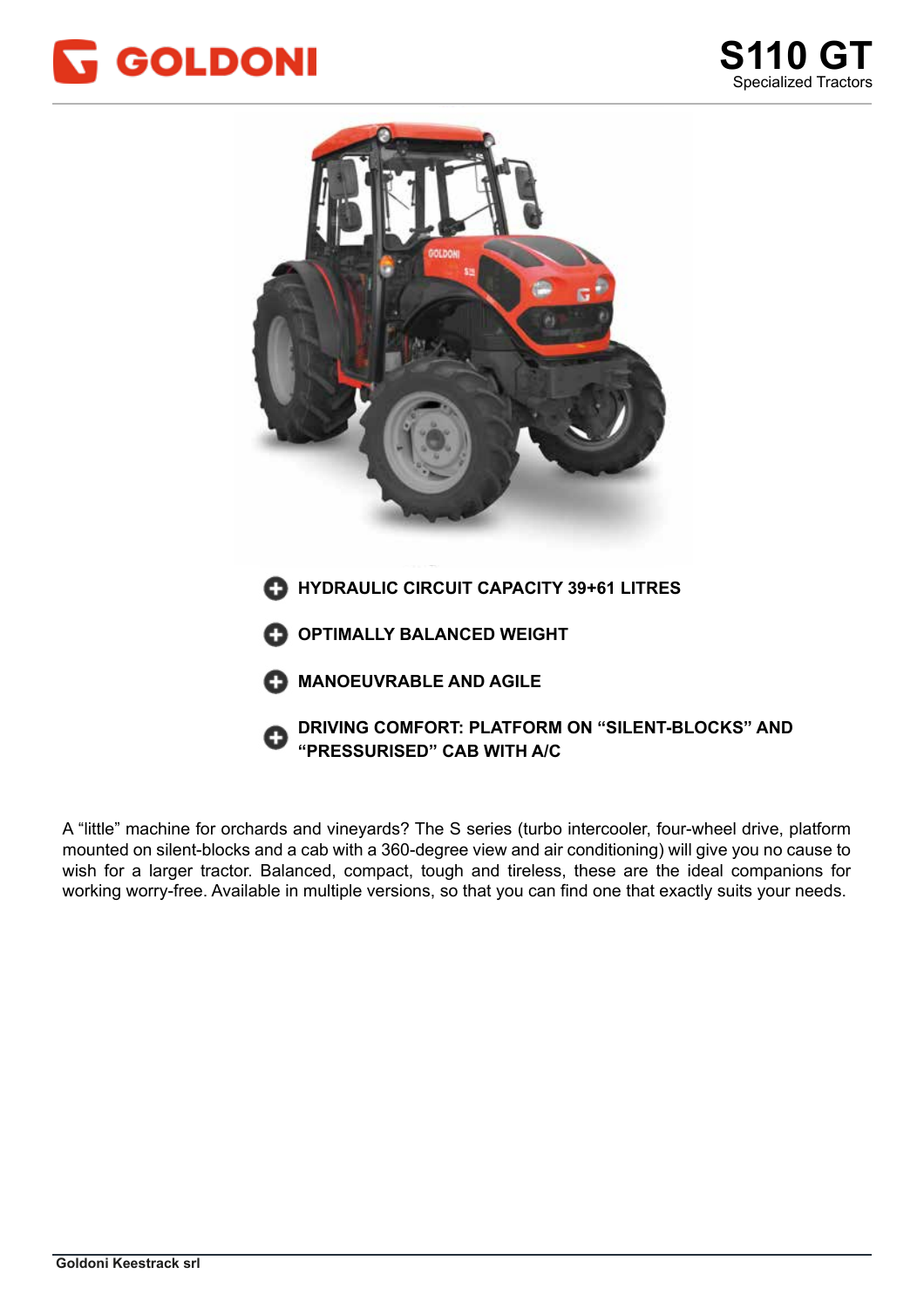



mounted on silent-blocks and a cab with a 360-degree view and air conditioning) will give you no cause to wish for a larger tractor. Balanced, compact, tough and tireless, these are the ideal companions for working worry-free. Available in multiple versions, so that you can find one that exactly suits your needs. A "little" machine for orchards and vineyards? The S series (turbo intercooler, four-wheel drive, platform

lavorare senza pensieri: in 6 versioni, per trovare ESATTAMENTE quello che fa per voi.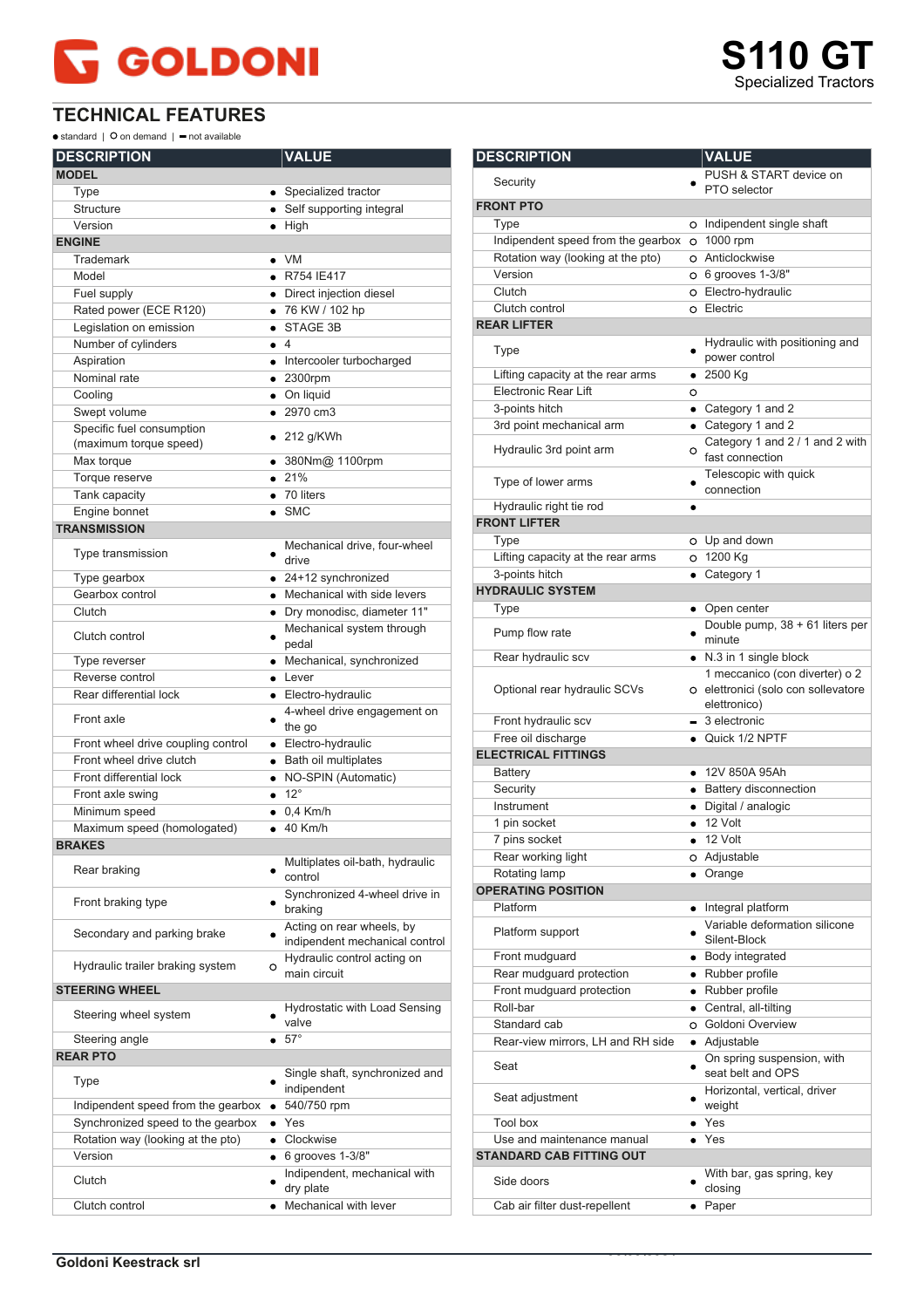## **GOLDONI**

**TECHNICAL FEATURES**

 $\bullet$  standard |  $\bullet$  on demand |  $\bullet$  not available

| <b>DESCRIPTION</b>                 |                | <b>VALUE</b>                                                |
|------------------------------------|----------------|-------------------------------------------------------------|
| <b>MODEL</b>                       |                |                                                             |
| Type                               |                | • Specialized tractor                                       |
| Structure                          |                | • Self supporting integral                                  |
| Version                            | $\bullet$ High |                                                             |
| <b>ENGINE</b>                      |                |                                                             |
| Trademark                          | $\bullet$ VM   |                                                             |
| Model                              |                | • R754 IE417                                                |
| Fuel supply                        |                | • Direct injection diesel                                   |
| Rated power (ECE R120)             |                | • 76 KW / 102 hp                                            |
| Legislation on emission            |                | STAGE 3B                                                    |
| Number of cylinders                | $\bullet$ 4    |                                                             |
| Aspiration                         |                | • Intercooler turbocharged                                  |
| Nominal rate                       |                | $• 2300$ rpm                                                |
| Cooling                            |                | • On liquid                                                 |
| Swept volume                       |                | • 2970 cm3                                                  |
| Specific fuel consumption          |                | $\bullet$ 212 g/KWh                                         |
| (maximum torque speed)             |                |                                                             |
| Max torque                         |                | ● 380Nm@ 1100rpm                                            |
| Torque reserve                     | • 21%          |                                                             |
| Tank capacity                      |                | $\bullet$ 70 liters                                         |
| Engine bonnet                      | $\bullet$ SMC  |                                                             |
| <b>TRANSMISSION</b>                |                |                                                             |
| Type transmission                  |                | Mechanical drive, four-wheel<br>drive                       |
| Type gearbox                       |                | $\bullet$ 24+12 synchronized                                |
| Gearbox control                    |                | • Mechanical with side levers                               |
| Clutch                             |                | · Dry monodisc, diameter 11"                                |
|                                    |                | Mechanical system through                                   |
| Clutch control                     |                | pedal                                                       |
| Type reverser                      | $\bullet$      | Mechanical, synchronized                                    |
| Reverse control                    |                | $\bullet$ Lever                                             |
| Rear differential lock             |                | • Electro-hydraulic                                         |
| Front axle                         |                | 4-wheel drive engagement on<br>the go                       |
| Front wheel drive coupling control |                | • Electro-hydraulic                                         |
| Front wheel drive clutch           |                | · Bath oil multiplates                                      |
| Front differential lock            |                | • NO-SPIN (Automatic)                                       |
| Front axle swing                   | $\bullet$ 12°  |                                                             |
| Minimum speed                      |                | $\bullet$ 0.4 Km/h                                          |
| Maximum speed (homologated)        |                | $\bullet$ 40 Km/h                                           |
| <b>BRAKES</b>                      |                |                                                             |
| Rear braking                       |                | Multiplates oil-bath, hydraulic<br>control                  |
| Front braking type                 |                | Synchronized 4-wheel drive in<br>braking                    |
| Secondary and parking brake        |                | Acting on rear wheels, by<br>indipendent mechanical control |
| Hydraulic trailer braking system   | $\circ$        | Hydraulic control acting on<br>main circuit                 |
| <b>STEERING WHEEL</b>              |                |                                                             |
| Steering wheel system              |                | Hydrostatic with Load Sensing<br>valve                      |
| Steering angle                     | • 57°          |                                                             |
| <b>REAR PTO</b>                    |                |                                                             |
| Type                               |                | Single shaft, synchronized and<br>indipendent               |
| Indipendent speed from the gearbox |                | 540/750 rpm                                                 |
| Synchronized speed to the gearbox  | $\bullet$ Yes  |                                                             |
| Rotation way (looking at the pto)  |                | • Clockwise                                                 |
| Version                            |                | $\bullet$ 6 grooves 1-3/8"                                  |
| Clutch                             |                | Indipendent, mechanical with<br>dry plate                   |
| Clutch control                     | $\bullet$      | Mechanical with lever                                       |
|                                    |                |                                                             |

| <b>DESCRIPTION</b>                 |           | <b>VALUE</b>                                        |
|------------------------------------|-----------|-----------------------------------------------------|
| Security                           |           | PUSH & START device on                              |
|                                    |           | PTO selector                                        |
| <b>FRONT PTO</b>                   |           |                                                     |
| Type                               |           | o Indipendent single shaft                          |
| Indipendent speed from the gearbox |           | $O$ 1000 rpm                                        |
| Rotation way (looking at the pto)  |           | O Anticlockwise                                     |
| Version                            |           | O 6 grooves 1-3/8"                                  |
| Clutch                             |           | O Electro-hydraulic                                 |
| Clutch control                     |           | o Electric                                          |
| <b>REAR LIFTER</b>                 |           |                                                     |
| Type                               |           | Hydraulic with positioning and<br>power control     |
| Lifting capacity at the rear arms  |           | $\bullet$ 2500 Kg                                   |
| <b>Electronic Rear Lift</b>        | O         |                                                     |
| 3-points hitch                     |           | • Category 1 and 2                                  |
| 3rd point mechanical arm           |           | • Category 1 and 2                                  |
| Hydraulic 3rd point arm            | O         | Category 1 and 2 / 1 and 2 with<br>fast connection  |
| Type of lower arms                 |           | Telescopic with quick<br>connection                 |
| Hydraulic right tie rod            | ٠         |                                                     |
| <b>FRONT LIFTER</b>                |           |                                                     |
| Type                               |           | O Up and down                                       |
| Lifting capacity at the rear arms  |           | O 1200 Kg                                           |
| 3-points hitch                     |           | • Category 1                                        |
| <b>HYDRAULIC SYSTEM</b>            |           |                                                     |
| Type                               |           | • Open center                                       |
| Pump flow rate                     |           | Double pump, 38 + 61 liters per<br>minute           |
| Rear hydraulic scv                 |           | • N.3 in 1 single block                             |
|                                    |           | 1 meccanico (con diverter) o 2                      |
| Optional rear hydraulic SCVs       |           | O elettronici (solo con sollevatore<br>elettronico) |
| Front hydraulic scv                |           | $-$ 3 electronic                                    |
| Free oil discharge                 |           | • Quick 1/2 NPTF                                    |
| <b>ELECTRICAL FITTINGS</b>         |           |                                                     |
| Battery                            |           | • 12V 850A 95Ah                                     |
| Security                           |           | • Battery disconnection                             |
| Instrument                         |           | · Digital / analogic                                |
| 1 pin socket                       |           | $\bullet$ 12 Volt                                   |
| 7 pins socket                      |           | 12 Volt                                             |
| Rear working light                 |           | o Adjustable                                        |
| Rotating lamp                      |           | Orange                                              |
| <b>OPERATING POSITION</b>          |           |                                                     |
| Platform                           | $\bullet$ | Integral platform                                   |
| Platform support                   |           | Variable deformation silicone<br>Silent-Block       |
| Front mudguard                     |           | • Body integrated                                   |
| Rear mudguard protection           |           | • Rubber profile                                    |
| Front mudguard protection          |           | • Rubber profile                                    |
| Roll-bar                           |           | • Central, all-tilting                              |
| Standard cab                       |           | O Goldoni Overview                                  |
| Rear-view mirrors, LH and RH side  |           | · Adjustable                                        |
| Seat                               |           | On spring suspension, with<br>seat belt and OPS     |
| Seat adjustment                    |           | Horizontal, vertical, driver<br>weight              |
| <b>Tool box</b>                    |           | $\bullet$ Yes                                       |
| Use and maintenance manual         |           | $\bullet$ Yes                                       |
| <b>STANDARD CAB FITTING OUT</b>    |           |                                                     |
| Side doors                         |           | With bar, gas spring, key<br>closing                |
| Cab air filter dust-repellent      |           | • Paper                                             |
|                                    |           |                                                     |